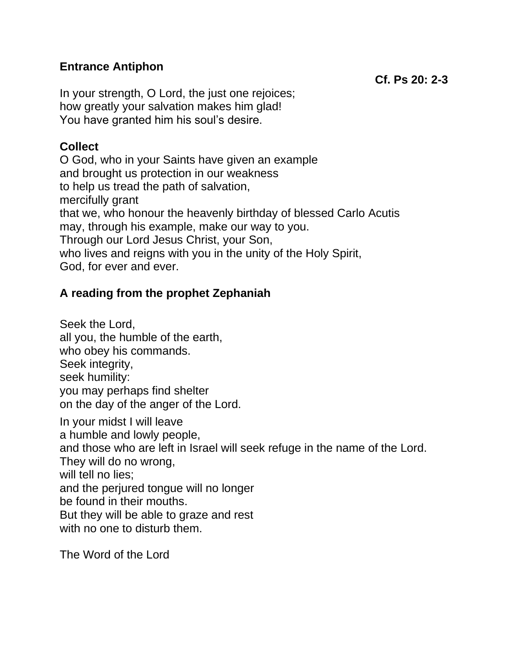## **Entrance Antiphon**

In your strength, O Lord, the just one rejoices; how greatly your salvation makes him glad! You have granted him his soul's desire.

## **Collect**

O God, who in your Saints have given an example and brought us protection in our weakness to help us tread the path of salvation, mercifully grant that we, who honour the heavenly birthday of blessed Carlo Acutis may, through his example, make our way to you. Through our Lord Jesus Christ, your Son, who lives and reigns with you in the unity of the Holy Spirit, God, for ever and ever.

# **A reading from the prophet Zephaniah**

Seek the Lord, all you, the humble of the earth, who obey his commands. Seek integrity, seek humility: you may perhaps find shelter on the day of the anger of the Lord. In your midst I will leave a humble and lowly people, and those who are left in Israel will seek refuge in the name of the Lord. They will do no wrong, will tell no lies: and the perjured tongue will no longer be found in their mouths. But they will be able to graze and rest with no one to disturb them.

The Word of the Lord

**Cf. Ps 20: 2-3**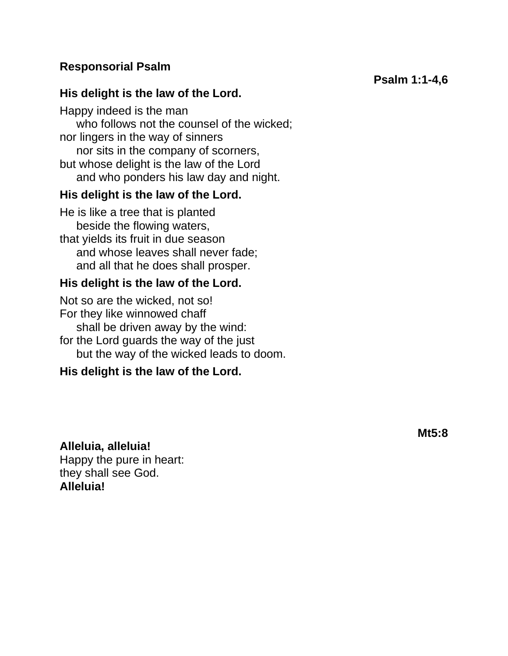### **Responsorial Psalm**

#### **His delight is the law of the Lord.**

Happy indeed is the man who follows not the counsel of the wicked; nor lingers in the way of sinners nor sits in the company of scorners, but whose delight is the law of the Lord and who ponders his law day and night.

#### **His delight is the law of the Lord.**

He is like a tree that is planted beside the flowing waters, that yields its fruit in due season and whose leaves shall never fade; and all that he does shall prosper.

#### **His delight is the law of the Lord.**

Not so are the wicked, not so! For they like winnowed chaff shall be driven away by the wind: for the Lord guards the way of the just but the way of the wicked leads to doom.

## **His delight is the law of the Lord.**

**Alleluia, alleluia!** Happy the pure in heart: they shall see God. **Alleluia!**

**Mt5:8**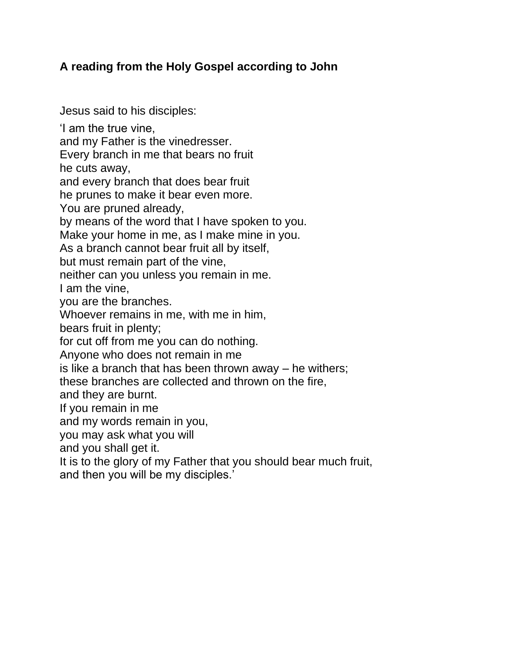## **A reading from the Holy Gospel according to John**

Jesus said to his disciples:

'I am the true vine,

and my Father is the vinedresser.

Every branch in me that bears no fruit

he cuts away,

and every branch that does bear fruit

he prunes to make it bear even more.

You are pruned already,

by means of the word that I have spoken to you.

Make your home in me, as I make mine in you.

As a branch cannot bear fruit all by itself,

but must remain part of the vine,

neither can you unless you remain in me.

I am the vine,

you are the branches.

Whoever remains in me, with me in him,

bears fruit in plenty;

for cut off from me you can do nothing.

Anyone who does not remain in me

is like a branch that has been thrown away – he withers;

these branches are collected and thrown on the fire,

and they are burnt.

If you remain in me

and my words remain in you,

you may ask what you will

and you shall get it.

It is to the glory of my Father that you should bear much fruit, and then you will be my disciples.'